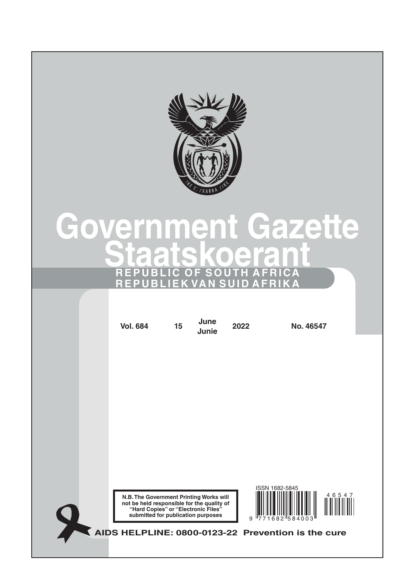

#### Gazette overnment  $\sqrt{2}$  $\blacksquare$  $\overline{\phantom{a}}$ R O ۰ C

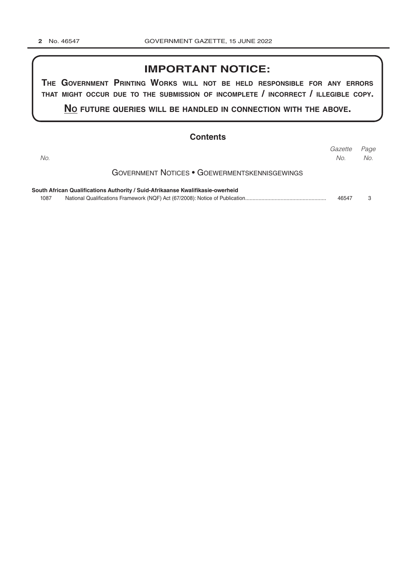## **IMPORTANT NOTICE:**

THE GOVERNMENT PRINTING WORKS WILL NOT BE HELD RESPONSIBLE FOR ANY ERRORS THAT MIGHT OCCUR DUE TO THE SUBMISSION OF INCOMPLETE / INCORRECT / ILLEGIBLE COPY.

NO FUTURE QUERIES WILL BE HANDLED IN CONNECTION WITH THE ABOVE.

| <b>Contents</b>                                                                |                |             |
|--------------------------------------------------------------------------------|----------------|-------------|
| No.                                                                            | Gazette<br>No. | Page<br>No. |
| <b>GOVERNMENT NOTICES • GOEWERMENTSKENNISGEWINGS</b>                           |                |             |
| South African Qualifications Authority / Suid-Afrikaanse Kwalifikasie-owerheid |                |             |
| 1087                                                                           | 46547          |             |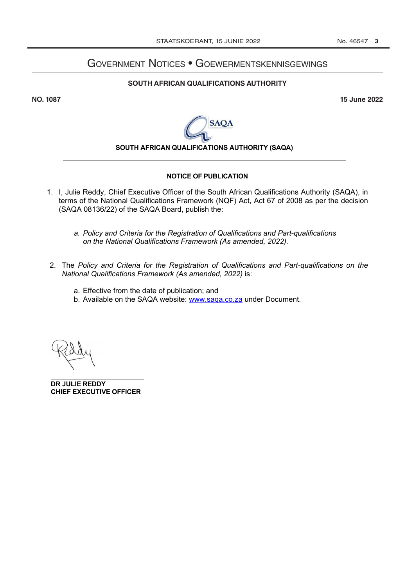# **GOVERNMENT NOTICES • GOEWERMENTSKENNISGEWINGS**

#### SOUTH AFRICAN QUALIFICATIONS AUTHORITY

**NO. 1087** 

**15 June 2022** 



### SOUTH AFRICAN QUALIFICATIONS AUTHORITY (SAQA)

#### **NOTICE OF PUBLICATION**

- 1. I, Julie Reddy, Chief Executive Officer of the South African Qualifications Authority (SAQA), in terms of the National Qualifications Framework (NQF) Act, Act 67 of 2008 as per the decision (SAQA 08136/22) of the SAQA Board, publish the:
	- a. Policy and Criteria for the Registration of Qualifications and Part-qualifications on the National Qualifications Framework (As amended, 2022).
- 2. The Policy and Criteria for the Registration of Qualifications and Part-qualifications on the National Qualifications Framework (As amended, 2022) is:
	- a. Effective from the date of publication; and
	- b. Available on the SAQA website: www.saga.co.za under Document.

DR JULIE REDDY **CHIEF EXECUTIVE OFFICER**